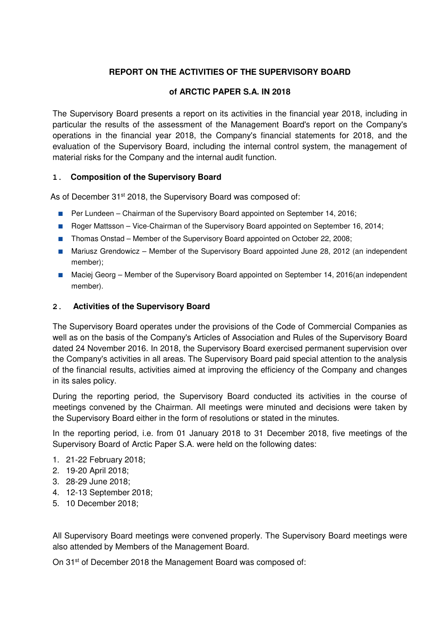# **REPORT ON THE ACTIVITIES OF THE SUPERVISORY BOARD**

### **of ARCTIC PAPER S.A. IN 2018**

The Supervisory Board presents a report on its activities in the financial year 2018, including in particular the results of the assessment of the Management Board's report on the Company's operations in the financial year 2018, the Company's financial statements for 2018, and the evaluation of the Supervisory Board, including the internal control system, the management of material risks for the Company and the internal audit function.

### **1. Composition of the Supervisory Board**

As of December 31<sup>st</sup> 2018, the Supervisory Board was composed of:

- Per Lundeen Chairman of the Supervisory Board appointed on September 14, 2016;
- Roger Mattsson Vice-Chairman of the Supervisory Board appointed on September 16, 2014;
- Thomas Onstad Member of the Supervisory Board appointed on October 22, 2008;
- Mariusz Grendowicz Member of the Supervisory Board appointed June 28, 2012 (an independent member);
- Maciej Georg Member of the Supervisory Board appointed on September 14, 2016(an independent member).

### **2. Activities of the Supervisory Board**

The Supervisory Board operates under the provisions of the Code of Commercial Companies as well as on the basis of the Company's Articles of Association and Rules of the Supervisory Board dated 24 November 2016. In 2018, the Supervisory Board exercised permanent supervision over the Company's activities in all areas. The Supervisory Board paid special attention to the analysis of the financial results, activities aimed at improving the efficiency of the Company and changes in its sales policy.

During the reporting period, the Supervisory Board conducted its activities in the course of meetings convened by the Chairman. All meetings were minuted and decisions were taken by the Supervisory Board either in the form of resolutions or stated in the minutes.

In the reporting period, i.e. from 01 January 2018 to 31 December 2018, five meetings of the Supervisory Board of Arctic Paper S.A. were held on the following dates:

- 1. 21-22 February 2018;
- 2. 19-20 April 2018;
- 3. 28-29 June 2018;
- 4. 12-13 September 2018;
- 5. 10 December 2018;

All Supervisory Board meetings were convened properly. The Supervisory Board meetings were also attended by Members of the Management Board.

On 31st of December 2018 the Management Board was composed of: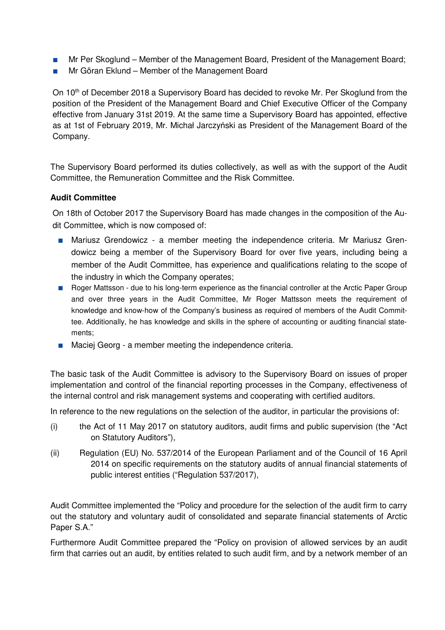- Mr Per Skoglund Member of the Management Board, President of the Management Board;
- Mr Göran Eklund Member of the Management Board

On 10<sup>th</sup> of December 2018 a Supervisory Board has decided to revoke Mr. Per Skoglund from the position of the President of the Management Board and Chief Executive Officer of the Company effective from January 31st 2019. At the same time a Supervisory Board has appointed, effective as at 1st of February 2019, Mr. Michał Jarczyński as President of the Management Board of the Company.

The Supervisory Board performed its duties collectively, as well as with the support of the Audit Committee, the Remuneration Committee and the Risk Committee.

### **Audit Committee**

On 18th of October 2017 the Supervisory Board has made changes in the composition of the Audit Committee, which is now composed of:

- Mariusz Grendowicz a member meeting the independence criteria. Mr Mariusz Grendowicz being a member of the Supervisory Board for over five years, including being a member of the Audit Committee, has experience and qualifications relating to the scope of the industry in which the Company operates;
- Roger Mattsson due to his long-term experience as the financial controller at the Arctic Paper Group and over three years in the Audit Committee, Mr Roger Mattsson meets the requirement of knowledge and know-how of the Company's business as required of members of the Audit Committee. Additionally, he has knowledge and skills in the sphere of accounting or auditing financial statements;
- Maciej Georg a member meeting the independence criteria.

The basic task of the Audit Committee is advisory to the Supervisory Board on issues of proper implementation and control of the financial reporting processes in the Company, effectiveness of the internal control and risk management systems and cooperating with certified auditors.

In reference to the new regulations on the selection of the auditor, in particular the provisions of:

- (i) the Act of 11 May 2017 on statutory auditors, audit firms and public supervision (the "Act on Statutory Auditors"),
- (ii) Regulation (EU) No. 537/2014 of the European Parliament and of the Council of 16 April 2014 on specific requirements on the statutory audits of annual financial statements of public interest entities ("Regulation 537/2017),

Audit Committee implemented the "Policy and procedure for the selection of the audit firm to carry out the statutory and voluntary audit of consolidated and separate financial statements of Arctic Paper S.A."

Furthermore Audit Committee prepared the "Policy on provision of allowed services by an audit firm that carries out an audit, by entities related to such audit firm, and by a network member of an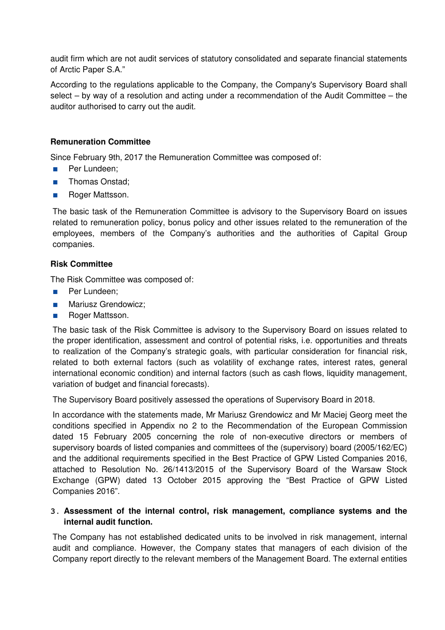audit firm which are not audit services of statutory consolidated and separate financial statements of Arctic Paper S.A."

According to the regulations applicable to the Company, the Company's Supervisory Board shall select – by way of a resolution and acting under a recommendation of the Audit Committee – the auditor authorised to carry out the audit.

### **Remuneration Committee**

Since February 9th, 2017 the Remuneration Committee was composed of:

- Per Lundeen:
- Thomas Onstad:
- Roger Mattsson.

The basic task of the Remuneration Committee is advisory to the Supervisory Board on issues related to remuneration policy, bonus policy and other issues related to the remuneration of the employees, members of the Company's authorities and the authorities of Capital Group companies.

#### **Risk Committee**

The Risk Committee was composed of:

- Per Lundeen;
- Mariusz Grendowicz:
- Roger Mattsson.

The basic task of the Risk Committee is advisory to the Supervisory Board on issues related to the proper identification, assessment and control of potential risks, i.e. opportunities and threats to realization of the Company's strategic goals, with particular consideration for financial risk, related to both external factors (such as volatility of exchange rates, interest rates, general international economic condition) and internal factors (such as cash flows, liquidity management, variation of budget and financial forecasts).

The Supervisory Board positively assessed the operations of Supervisory Board in 2018.

In accordance with the statements made, Mr Mariusz Grendowicz and Mr Maciej Georg meet the conditions specified in Appendix no 2 to the Recommendation of the European Commission dated 15 February 2005 concerning the role of non-executive directors or members of supervisory boards of listed companies and committees of the (supervisory) board (2005/162/EC) and the additional requirements specified in the Best Practice of GPW Listed Companies 2016, attached to Resolution No. 26/1413/2015 of the Supervisory Board of the Warsaw Stock Exchange (GPW) dated 13 October 2015 approving the "Best Practice of GPW Listed Companies 2016".

#### **3. Assessment of the internal control, risk management, compliance systems and the internal audit function.**

The Company has not established dedicated units to be involved in risk management, internal audit and compliance. However, the Company states that managers of each division of the Company report directly to the relevant members of the Management Board. The external entities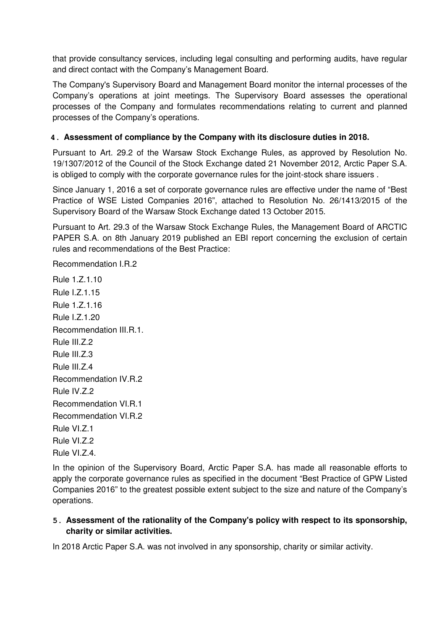that provide consultancy services, including legal consulting and performing audits, have regular and direct contact with the Company's Management Board.

The Company's Supervisory Board and Management Board monitor the internal processes of the Company's operations at joint meetings. The Supervisory Board assesses the operational processes of the Company and formulates recommendations relating to current and planned processes of the Company's operations.

### **4. Assessment of compliance by the Company with its disclosure duties in 2018.**

Pursuant to Art. 29.2 of the Warsaw Stock Exchange Rules, as approved by Resolution No. 19/1307/2012 of the Council of the Stock Exchange dated 21 November 2012, Arctic Paper S.A. is obliged to comply with the corporate governance rules for the joint-stock share issuers .

Since January 1, 2016 a set of corporate governance rules are effective under the name of "Best Practice of WSE Listed Companies 2016", attached to Resolution No. 26/1413/2015 of the Supervisory Board of the Warsaw Stock Exchange dated 13 October 2015.

Pursuant to Art. 29.3 of the Warsaw Stock Exchange Rules, the Management Board of ARCTIC PAPER S.A. on 8th January 2019 published an EBI report concerning the exclusion of certain rules and recommendations of the Best Practice:

Recommendation I.R.2

Rule 1.Z.1.10 Rule I.Z.1.15 Rule 1.Z.1.16 Rule I.Z.1.20 Recommendation III.R.1. Rule III.Z.2 Rule III.Z.3 Rule III.Z.4 Recommendation IV.R.2 Rule IV.Z.2 Recommendation VI.R.1 Recommendation VI.R.2 Rule VI.Z.1 Rule VI.Z.2 Rule VI.Z.4.

In the opinion of the Supervisory Board, Arctic Paper S.A. has made all reasonable efforts to apply the corporate governance rules as specified in the document "Best Practice of GPW Listed Companies 2016" to the greatest possible extent subject to the size and nature of the Company's operations.

## **5. Assessment of the rationality of the Company's policy with respect to its sponsorship, charity or similar activities.**

In 2018 Arctic Paper S.A. was not involved in any sponsorship, charity or similar activity.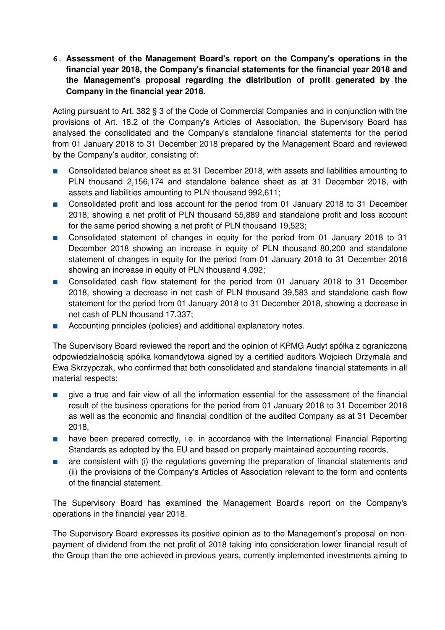**6. Assessment of the Management Board's report on the Company's operations in the financial year 2018, the Company's financial statements for the financial year 2018 and the Management's proposal regarding the distribution of profit generated by the Company in the financial year 2018.**

Acting pursuant to Art. 382 § 3 of the Code of Commercial Companies and in conjunction with the provisions of Art. 18.2 of the Company's Articles of Association, the Supervisory Board has analysed the consolidated and the Company's standalone financial statements for the period from 01 January 2018 to 31 December 2018 prepared by the Management Board and reviewed by the Company's auditor, consisting of:

- Consolidated balance sheet as at 31 December 2018, with assets and liabilities amounting to PLN thousand 2,156,174 and standalone balance sheet as at 31 December 2018, with assets and liabilities amounting to PLN thousand 992,611;
- Consolidated profit and loss account for the period from 01 January 2018 to 31 December 2018, showing a net profit of PLN thousand 55,889 and standalone profit and loss account for the same period showing a net profit of PLN thousand 19,523;
- Consolidated statement of changes in equity for the period from 01 January 2018 to 31 December 2018 showing an increase in equity of PLN thousand 80,200 and standalone statement of changes in equity for the period from 01 January 2018 to 31 December 2018 showing an increase in equity of PLN thousand 4,092;
- Consolidated cash flow statement for the period from 01 January 2018 to 31 December 2018, showing a decrease in net cash of PLN thousand 39,583 and standalone cash flow statement for the period from 01 January 2018 to 31 December 2018, showing a decrease in net cash of PLN thousand 17,337;
- Accounting principles (policies) and additional explanatory notes.

The Supervisory Board reviewed the report and the opinion of KPMG Audyt spółka z ograniczoną odpowiedzialnością spółka komandytowa signed by a certified auditors Wojciech Drzymała and Ewa Skrzypczak, who confirmed that both consolidated and standalone financial statements in all material respects:

- give a true and fair view of all the information essential for the assessment of the financial result of the business operations for the period from 01 January 2018 to 31 December 2018 as well as the economic and financial condition of the audited Company as at 31 December 2018,
- have been prepared correctly, i.e. in accordance with the International Financial Reporting Standards as adopted by the EU and based on properly maintained accounting records,
- are consistent with (i) the regulations governing the preparation of financial statements and (ii) the provisions of the Company's Articles of Association relevant to the form and contents of the financial statement.

The Supervisory Board has examined the Management Board's report on the Company's operations in the financial year 2018.

The Supervisory Board expresses its positive opinion as to the Management's proposal on nonpayment of dividend from the net profit of 2018 taking into consideration lower financial result of the Group than the one achieved in previous years, currently implemented investments aiming to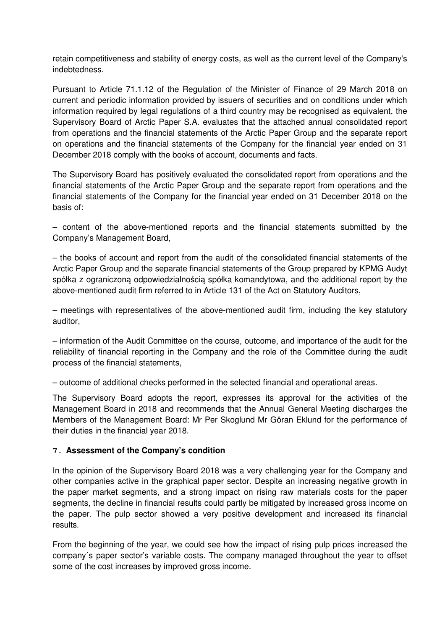retain competitiveness and stability of energy costs, as well as the current level of the Company's indebtedness.

Pursuant to Article 71.1.12 of the Regulation of the Minister of Finance of 29 March 2018 on current and periodic information provided by issuers of securities and on conditions under which information required by legal regulations of a third country may be recognised as equivalent, the Supervisory Board of Arctic Paper S.A. evaluates that the attached annual consolidated report from operations and the financial statements of the Arctic Paper Group and the separate report on operations and the financial statements of the Company for the financial year ended on 31 December 2018 comply with the books of account, documents and facts.

The Supervisory Board has positively evaluated the consolidated report from operations and the financial statements of the Arctic Paper Group and the separate report from operations and the financial statements of the Company for the financial year ended on 31 December 2018 on the basis of:

– content of the above-mentioned reports and the financial statements submitted by the Company's Management Board,

– the books of account and report from the audit of the consolidated financial statements of the Arctic Paper Group and the separate financial statements of the Group prepared by KPMG Audyt spółka z ograniczoną odpowiedzialnością spółka komandytowa, and the additional report by the above-mentioned audit firm referred to in Article 131 of the Act on Statutory Auditors,

– meetings with representatives of the above-mentioned audit firm, including the key statutory auditor,

– information of the Audit Committee on the course, outcome, and importance of the audit for the reliability of financial reporting in the Company and the role of the Committee during the audit process of the financial statements,

– outcome of additional checks performed in the selected financial and operational areas.

The Supervisory Board adopts the report, expresses its approval for the activities of the Management Board in 2018 and recommends that the Annual General Meeting discharges the Members of the Management Board: Mr Per Skoglund Mr Göran Eklund for the performance of their duties in the financial year 2018.

#### **7. Assessment of the Company's condition**

In the opinion of the Supervisory Board 2018 was a very challenging year for the Company and other companies active in the graphical paper sector. Despite an increasing negative growth in the paper market segments, and a strong impact on rising raw materials costs for the paper segments, the decline in financial results could partly be mitigated by increased gross income on the paper. The pulp sector showed a very positive development and increased its financial results.

From the beginning of the year, we could see how the impact of rising pulp prices increased the company´s paper sector's variable costs. The company managed throughout the year to offset some of the cost increases by improved gross income.